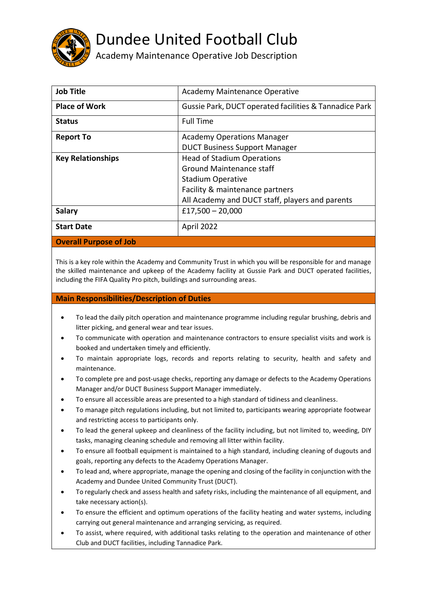

## Dundee United Football Club

Academy Maintenance Operative Job Description

| <b>Job Title</b>              | Academy Maintenance Operative                          |
|-------------------------------|--------------------------------------------------------|
| <b>Place of Work</b>          | Gussie Park, DUCT operated facilities & Tannadice Park |
| <b>Status</b>                 | <b>Full Time</b>                                       |
| <b>Report To</b>              | <b>Academy Operations Manager</b>                      |
|                               | <b>DUCT Business Support Manager</b>                   |
| <b>Key Relationships</b>      | <b>Head of Stadium Operations</b>                      |
|                               | <b>Ground Maintenance staff</b>                        |
|                               | <b>Stadium Operative</b>                               |
|                               | Facility & maintenance partners                        |
|                               | All Academy and DUCT staff, players and parents        |
| <b>Salary</b>                 | £17,500 $-$ 20,000                                     |
| <b>Start Date</b>             | April 2022                                             |
| <b>Overall Purpose of Job</b> |                                                        |

This is a key role within the Academy and Community Trust in which you will be responsible for and manage the skilled maintenance and upkeep of the Academy facility at Gussie Park and DUCT operated facilities, including the FIFA Quality Pro pitch, buildings and surrounding areas.

## **Main Responsibilities/Description of Duties**

- To lead the daily pitch operation and maintenance programme including regular brushing, debris and litter picking, and general wear and tear issues.
- To communicate with operation and maintenance contractors to ensure specialist visits and work is booked and undertaken timely and efficiently.
- To maintain appropriate logs, records and reports relating to security, health and safety and maintenance.
- To complete pre and post-usage checks, reporting any damage or defects to the Academy Operations Manager and/or DUCT Business Support Manager immediately.
- To ensure all accessible areas are presented to a high standard of tidiness and cleanliness.
- To manage pitch regulations including, but not limited to, participants wearing appropriate footwear and restricting access to participants only.
- To lead the general upkeep and cleanliness of the facility including, but not limited to, weeding, DIY tasks, managing cleaning schedule and removing all litter within facility.
- To ensure all football equipment is maintained to a high standard, including cleaning of dugouts and goals, reporting any defects to the Academy Operations Manager.
- To lead and, where appropriate, manage the opening and closing of the facility in conjunction with the Academy and Dundee United Community Trust (DUCT).
- To regularly check and assess health and safety risks, including the maintenance of all equipment, and take necessary action(s).
- To ensure the efficient and optimum operations of the facility heating and water systems, including carrying out general maintenance and arranging servicing, as required.
- To assist, where required, with additional tasks relating to the operation and maintenance of other Club and DUCT facilities, including Tannadice Park.